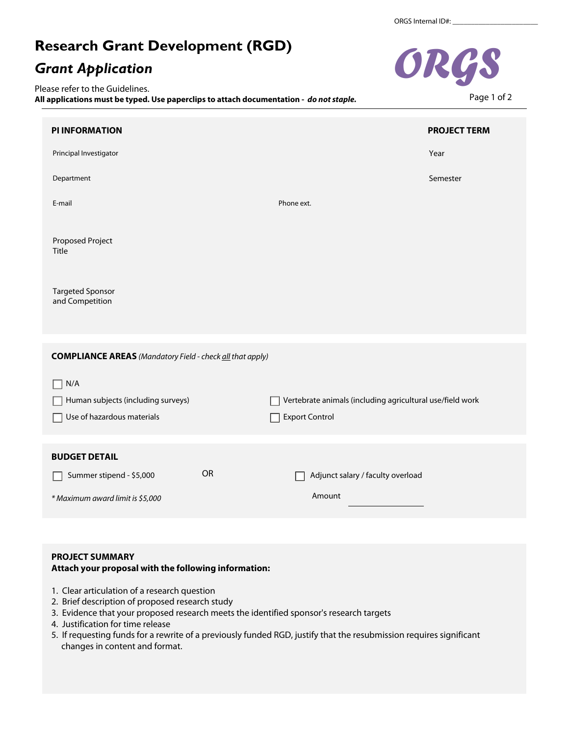# **Research Grant Development (RGD)**

# *Grant Application*

Please refer to the Guidelines. **All applications must be typed. Use paperclips to attach documentation -** *do not staple.*



## **PROJECT SUMMARY**

## **Attach your proposal with the following information:**

- 1. Clear articulation of a research question
- 2. Brief description of proposed research study
- 3. Evidence that your proposed research meets the identified sponsor's research targets
- 4. Justification for time release
- 5. If requesting funds for a rewrite of a previously funded RGD, justify that the resubmission requires significant changes in content and format.



Page 1 of 2

 $\mathbf{F}$